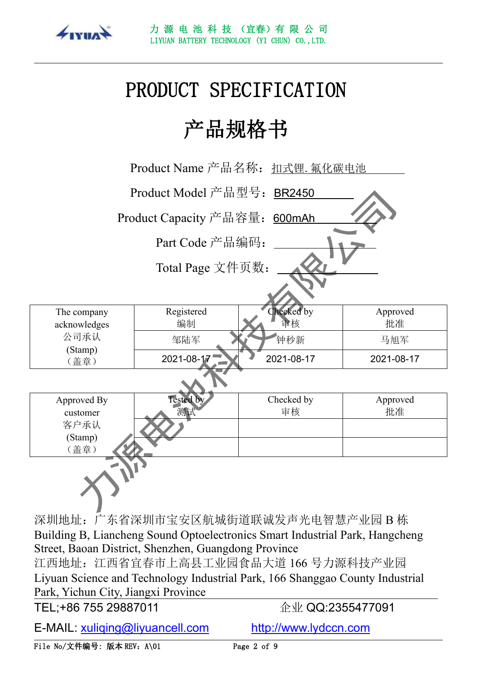

# PRODUCT SPECIFICATION

# 产品规格书

|                             | Product Name 产品名称: 扣式锂. 氟化碳电池      |                  |                |  |
|-----------------------------|------------------------------------|------------------|----------------|--|
|                             | Product Model 产品型号: BR2450         |                  |                |  |
|                             | Product Capacity 产品容量: 600mAh      |                  |                |  |
|                             | Part Code 产品编码:                    |                  |                |  |
|                             | Total Page 文件页数:                   |                  |                |  |
|                             |                                    |                  |                |  |
| The company<br>acknowledges | Registered<br>编制                   | Checked by<br>量核 | Approved<br>批准 |  |
| 公司承认                        | 邹陆军                                | 钟秒新              | 马旭军            |  |
| (Stamp)<br>(盖章)             | 2021-08-17                         | 2021-08-17       | 2021-08-17     |  |
|                             |                                    |                  |                |  |
| Approved By<br>customer     | <b>Tested by</b><br>测试             | Checked by<br>审核 | Approved<br>批准 |  |
| 客户承认<br>(Stamp)<br>(盖章)     |                                    |                  |                |  |
|                             |                                    |                  |                |  |
|                             | 深圳地址: 广东省深圳市宝安区航城街道联诚发声光电智慧产业园 B 栋 |                  |                |  |

Building B, Liancheng Sound Optoelectronics Smart Industrial Park, Hangcheng Street, Baoan District, Shenzhen, Guangdong Province 江西地址:江西省宜春市上高县工业园食品大道 166 号力源科技产业园

Liyuan Science and Technology Industrial Park, 166 Shanggao County Industrial Park, Yichun City, Jiangxi Province

TEL;+86 755 29887011 企业 QQ:2355477091

E-MAIL: [xuliqing@liyuancell.com](mailto:xuliqing@liyuancell.com) <http://www.lydccn.com>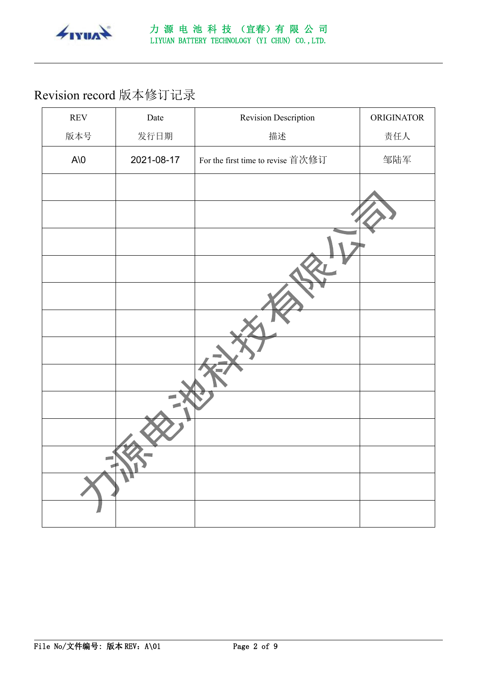

# Revision record 版本修订记录

| $\ensuremath{\text{REV}}$ | Date       | Revision Description              | ORIGINATOR |
|---------------------------|------------|-----------------------------------|------------|
| 版本号                       | 发行日期       | 描述                                | 责任人        |
| $A\setminus 0$            | 2021-08-17 | For the first time to revise 首次修订 | 邹陆军        |
|                           |            |                                   |            |
|                           |            |                                   |            |
|                           |            |                                   |            |
|                           |            |                                   |            |
|                           |            |                                   |            |
|                           |            |                                   |            |
|                           |            |                                   |            |
|                           |            |                                   |            |
|                           |            |                                   |            |
|                           |            |                                   |            |
|                           | ◥          |                                   |            |
|                           |            |                                   |            |
|                           |            |                                   |            |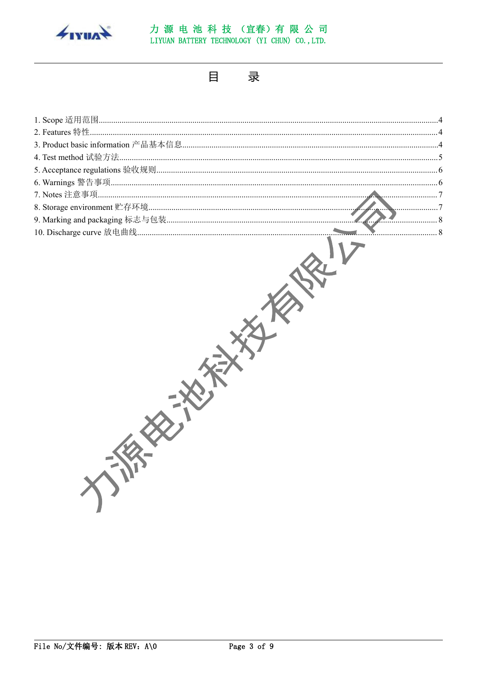

#### 力源电池科技(宜春)有限公司 LIYUAN BATTERY TECHNOLOGY (YI CHUN) CO., LTD.

目 录

| - 8 |
|-----|
|     |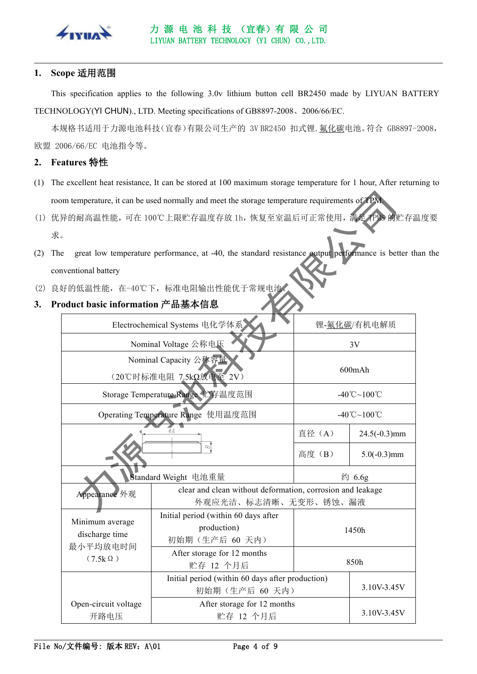

#### <span id="page-3-0"></span>**1. Scope** 适用范围

This specification applies to the following 3.0v lithium button cell BR2450 made by LIYUAN BATTERY TECHNOLOGY(YI CHUN)., LTD. Meeting specifications of GB8897-2008、2006/66/EC.

本规格书适用于力源电池科技(宜春)有限公司生产的 3V BR2450 扣式锂. 氟化碳电池。符合 GB8897-2008, 欧盟 2006/66/EC 电池指令等。

#### <span id="page-3-1"></span>**2. Features** 特性

- (1) The excellent heat resistance, It can be stored at 100 maximum storage temperature for 1 hour, After returning to room temperature, it can be used normally and meet the storage temperature requirements of TPM.
- (1) 优异的耐高温性能,可在 100℃上限贮存温度存放 1h,恢复至室温后可正常使用,满足 TPMS 的贮存温度要 **求。**
- (2) The great low temperature performance, at -40, the standard resistance output performance is better than the conventional battery
- (2) 良好的低温性能,在-40℃下,标准电阻输出性能优于常规电池。

#### <span id="page-3-2"></span>**3. Product basic information** 产品基本信息

| Electrochemical Systems 电化学体系                                   |                                                                                    | 锂-氟化碳/有机电解质                                    |                                         |  |
|-----------------------------------------------------------------|------------------------------------------------------------------------------------|------------------------------------------------|-----------------------------------------|--|
|                                                                 | Nominal Voltage 公称电压                                                               | 3V                                             |                                         |  |
| Nominal Capacity 公称容量<br>(20℃时标准电阻 7.5kΩ放电至 2V)                 |                                                                                    | 600mAh                                         |                                         |  |
|                                                                 | Storage Temperature Range 贮存温度范围                                                   | $-40^{\circ}\text{C} \sim 100^{\circ}\text{C}$ |                                         |  |
|                                                                 | Operating Temperature Range 使用温度范围                                                 |                                                | $-40^{\circ}$ C $\sim$ 100 $^{\circ}$ C |  |
|                                                                 | ØA                                                                                 | 直径 (A)                                         | $24.5(-0.3)$ mm                         |  |
|                                                                 |                                                                                    | 高度 (B)                                         | $5.0(-0.3)$ mm                          |  |
| Standard Weight 电池重量                                            |                                                                                    | 约 6.6g                                         |                                         |  |
| Appearance 外观                                                   | clear and clean without deformation, corrosion and leakage<br>外观应光洁、标志清晰、无变形、锈蚀、漏液 |                                                |                                         |  |
| Minimum average<br>discharge time<br>最小平均放电时间<br>$(7.5k\Omega)$ | Initial period (within 60 days after<br>production)<br>初始期(生产后 60 天内)              |                                                | 1450h                                   |  |
|                                                                 | After storage for 12 months<br>贮存 12 个月后                                           | 850h                                           |                                         |  |
|                                                                 | Initial period (within 60 days after production)<br>初始期(生产后 60 天内)                 |                                                | 3.10V-3.45V                             |  |
| Open-circuit voltage<br>开路电压                                    | After storage for 12 months<br>贮存 12 个月后                                           |                                                | 3.10V-3.45V                             |  |
|                                                                 |                                                                                    |                                                |                                         |  |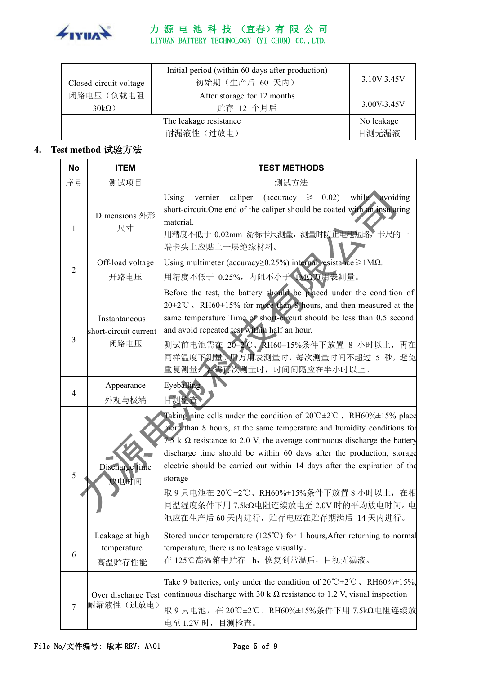

#### 力 源 电 池 科 技 (宜春)有 限 公 司 LIYUAN BATTERY TECHNOLOGY (YI CHUN) CO.,LTD.

| Closed-circuit voltage | Initial period (within 60 days after production)<br>初始期(生产后 60 天内) | 3.10V-3.45V |  |
|------------------------|--------------------------------------------------------------------|-------------|--|
| 闭路电压(负载电阻              | After storage for 12 months                                        |             |  |
| $30k\Omega$ )          | 贮存 12 个月后                                                          | 3.00V-3.45V |  |
| The leakage resistance |                                                                    | No leakage  |  |
|                        | 目测无漏液                                                              |             |  |

## <span id="page-4-0"></span>**4. Test method** 试验方法

| <b>No</b>      | <b>ITEM</b>                                    | <b>TEST METHODS</b>                                                                                                                                                                                                                                                                                                                                                                                                                                                                                                                                           |
|----------------|------------------------------------------------|---------------------------------------------------------------------------------------------------------------------------------------------------------------------------------------------------------------------------------------------------------------------------------------------------------------------------------------------------------------------------------------------------------------------------------------------------------------------------------------------------------------------------------------------------------------|
| 序号             | 测试项目                                           | 测试方法                                                                                                                                                                                                                                                                                                                                                                                                                                                                                                                                                          |
| 1              | Dimensions 外形<br>尺寸                            | 0.02)<br>while avoiding<br>vernier<br>caliper<br>$(\text{accuracy} \geq$<br>Using<br>short-circuit. One end of the caliper should be coated with an insulating<br>material.<br>用精度不低于 0.02mm 游标卡尺测量, 测量时防止电池短路, 卡尺的一<br>端卡头上应贴上一层绝缘材料。                                                                                                                                                                                                                                                                                                                        |
| $\overline{2}$ | Off-load voltage                               | Using multimeter (accuracy $\geq$ 0.25%) internal resistance $\geq$ 1M $\Omega$ .                                                                                                                                                                                                                                                                                                                                                                                                                                                                             |
|                | 开路电压                                           | 用精度不低于 0.25%, 内阻不小于 1MΩ万用表测量。                                                                                                                                                                                                                                                                                                                                                                                                                                                                                                                                 |
| 3              | Instantaneous<br>short-circuit current<br>闭路电压 | Before the test, the battery should be placed under the condition of<br>$20\pm2$ °C, RH60 $\pm15\%$ for more than 8 hours, and then measured at the<br>same temperature Time of short-circuit should be less than 0.5 second<br>and avoid repeated test within half an hour.<br>测试前电池需在 20±2℃、RH60±15%条件下放置 8 小时以上, 再在<br>同样温度下测量。用方用表测量时,每次测量时间不超过 5 秒, 避免                                                                                                                                                                                                   |
| 4              | Appearance<br>外观与极端                            | Eyeballing<br>目测检查                                                                                                                                                                                                                                                                                                                                                                                                                                                                                                                                            |
| 5              | Discharge time<br>放电时间                         | Taking nine cells under the condition of $20^{\circ}$ C $\pm 2^{\circ}$ C . RH60% $\pm 15$ % place<br>more than 8 hours, at the same temperature and humidity conditions for<br>7.5 k $\Omega$ resistance to 2.0 V, the average continuous discharge the battery<br>discharge time should be within 60 days after the production, storage<br>electric should be carried out within 14 days after the expiration of the<br>storage<br>取 9 只电池在 20℃±2℃、RH60%±15%条件下放置 8 小时以上, 在相<br>同温湿度条件下用 7.5kΩ电阻连续放电至 2.0V 时的平均放电时间。电<br>池应在生产后 60 天内进行,贮存电应在贮存期满后 14 天内进行。 |
| 6              | Leakage at high<br>temperature<br>高温贮存性能       | Stored under temperature (125 $^{\circ}$ C) for 1 hours, After returning to normal<br>temperature, there is no leakage visually.<br>在 125℃高温箱中贮存 1h, 恢复到常温后, 目视无漏液。                                                                                                                                                                                                                                                                                                                                                                                           |
| 7              | 耐漏液性 (过放电)                                     | Take 9 batteries, only under the condition of $20^{\circ}$ C $\pm 2^{\circ}$ C, RH60% $\pm 15\%$ .<br>Over discharge Test continuous discharge with 30 k $\Omega$ resistance to 1.2 V, visual inspection<br>取 9 只电池, 在 20℃±2℃、RH60%±15%条件下用 7.5kΩ电阻连续放<br> 电至 1.2V 时,目测检查。                                                                                                                                                                                                                                                                                    |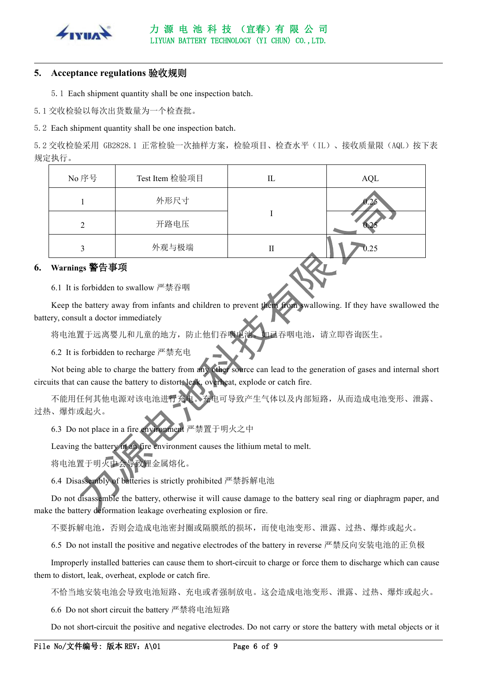

#### <span id="page-5-0"></span>**5. Acceptance regulations** 验收规则

5.1 Each shipment quantity shall be one inspection batch.

5.1 交收检验以每次出货数量为一个检查批。

5.2 Each shipment quantity shall be one inspection batch.

5.2 交收检验采用 GB2828.1 正常检验一次抽样方案,检验项目、检查水平(IL)、接收质量限(AQL)按下表 规定执行。

| No 序号 | Test Item 检验项目 | IL | AQL  |
|-------|----------------|----|------|
|       | 外形尺寸           |    |      |
|       | 开路电压           |    |      |
|       | 外观与极端          | П  | 0.25 |

#### <span id="page-5-1"></span>**6. Warnings** 警告事项

6.1 It isforbidden to swallow 严禁吞咽

Keep the battery away from infants and children to prevent them from swallowing. If they have swallowed the battery, consult a doctor immediately

将电池置于远离婴儿和儿童的地方,防止他们吞咽电池。如己吞咽电池,请立即咨询医生。

6.2 It is forbidden to recharge 严禁充电

Not being able to charge the battery from any other source can lead to the generation of gases and internal short circuits that can cause the battery to distort, leak, overheat, explode or catch fire.

不能用任何其他电源对该电池进行充电。充电可导致产生气体以及内部短路,从而造成电池变形、泄露、 过热、爆炸或起火。

6.3 Do not place in a fire environment 严禁置于明火之中

Leaving the battery in an fire environment causes the lithium metal to melt.

将电池置于明火中会导致锂金属熔化。

6.4 Disassembly of batteries is strictly prohibited 严禁拆解电池

Do not disassemble the battery, otherwise it will cause damage to the battery seal ring or diaphragm paper, and make the battery deformation leakage overheating explosion or fire.

不要拆解电池,否则会造成电池密封圈或隔膜纸的损坏,而使电池变形、泄露、过热、爆炸或起火。

6.5 Do not install the positive and negative electrodes of the battery in reverse 严禁反向安装电池的正负极

Improperly installed batteries can cause them to short-circuit to charge or force them to discharge which can cause them to distort, leak, overheat, explode or catch fire.

不恰当地安装电池会导致电池短路、充电或者强制放电。这会造成电池变形、泄露、过热、爆炸或起火。

6.6 Do not short circuit the battery 严禁将电池短路

Do not short-circuit the positive and negative electrodes. Do not carry or store the battery with metal objects or it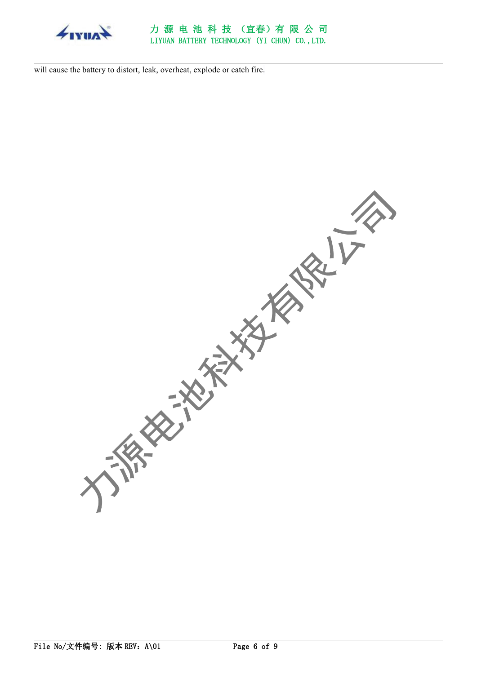

#### 力 源 电 池 科 技 (宜春)有 限 公 司 LIYUAN BATTERY TECHNOLOGY (YI CHUN) CO.,LTD.

will cause the battery to distort, leak, overheat, explode or catch fire.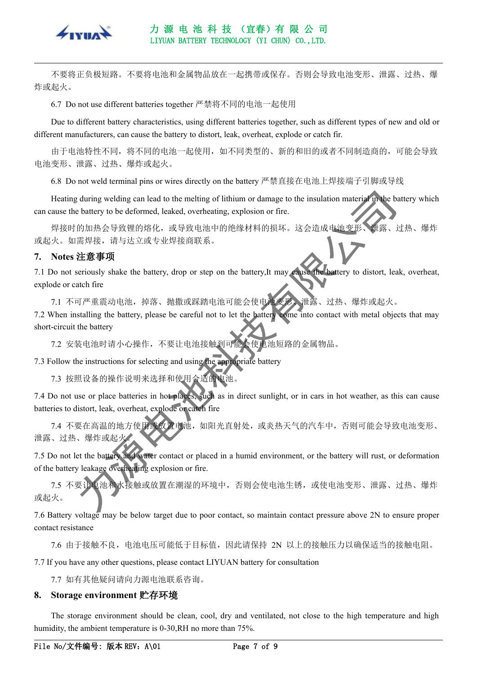

#### 力 源 电 池 科 技 (宜春)有 限 公 司 LIYUAN BATTERY TECHNOLOGY (YI CHUN) CO.,LTD.

不要将正负极短路。不要将电池和金属物品放在一起携带或保存。否则会导致电池变形、泄露、过热、爆 炸或起火。

6.7 Do not use different batteries together 严禁将不同的电池一起使用

Due to different battery characteristics, using different batteries together, such as different types of new and old or different manufacturers, can cause the battery to distort, leak, overheat, explode or catch fir.

由于电池特性不同,将不同的电池一起使用,如不同类型的、新的和旧的或者不同制造商的,可能会导致 电池变形、泄露、过热、爆炸或起火。

6.8 Do not weld terminal pins orwires directly on the battery 严禁直接在电池上焊接端子引脚或导线

Heating during welding can lead to the melting of lithium or damage to the insulation material in the battery which can cause the battery to be deformed, leaked, overheating, explosion or fire.

焊接时的加热会导致锂的熔化,或导致电池中的绝缘材料的损坏。这会造成电池变形、泄露、过热、爆炸 或起火。如需焊接,请与达立或专业焊接商联系。

#### <span id="page-7-0"></span>**7. Notes** 注意事项

7.1 Do not seriously shake the battery, drop or step on the battery,It may cause the battery to distort, leak, overheat, explode or catch fire

7.1 不可严重震动电池,掉落、抛撒或踩踏电池可能会使电池变形、泄露、过热、爆炸或起火。

7.2 When installing the battery, please be careful not to let the battery come into contact with metal objects that may short-circuit the battery

7.2 安装电池时请小心操作,不要让电池接触到可能会使电池短路的金属物品。

7.3 Follow the instructions for selecting and using the appropriate battery

7.3 按照设备的操作说明来选择和使用合适的电池。

7.4 Do not use or place batteries in hot places, such as in direct sunlight, or in cars in hot weather, as this can cause batteries to distort, leak, overheat, explode or catch fire

7.4 不要在高温的地方使用或放置电池,如阳光直射处,或炎热天气的汽车中,否则可能会导致电池变形、 泄露、过热、爆炸或起火

7.5 Do not let the battery and water contact or placed in a humid environment, or the battery will rust, or deformation of the battery leakage overheating explosion or fire.

7.5 不要让电池和水接触或放置在潮湿的环境中,否则会使电池生锈,或使电池变形、泄露、过热、爆炸 或起火。

7.6 Battery voltage may be below target due to poor contact, so maintain contact pressure above 2N to ensure proper contact resistance

7.6 由于接触不良,电池电压可能低于目标值,因此请保持 2N 以上的接触压力以确保适当的接触电阻。

7.7 If you have any other questions, please contactLIYUAN battery for consultation

<span id="page-7-1"></span>7.7 如有其他疑问请向力源电池联系咨询。

#### **8. Storage environment** 贮存环境

The storage environment should be clean, cool, dry and ventilated, not close to the high temperature and high humidity, the ambient temperature is 0-30,RH no more than 75%.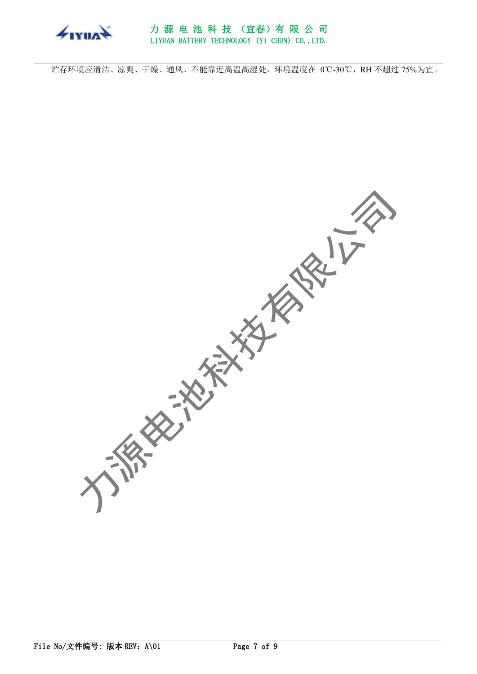

贮存环境应清洁、凉爽、干燥、通风、不能靠近高温高湿处,环境温度在 0℃-30℃,RH 不超过 75%为宜。

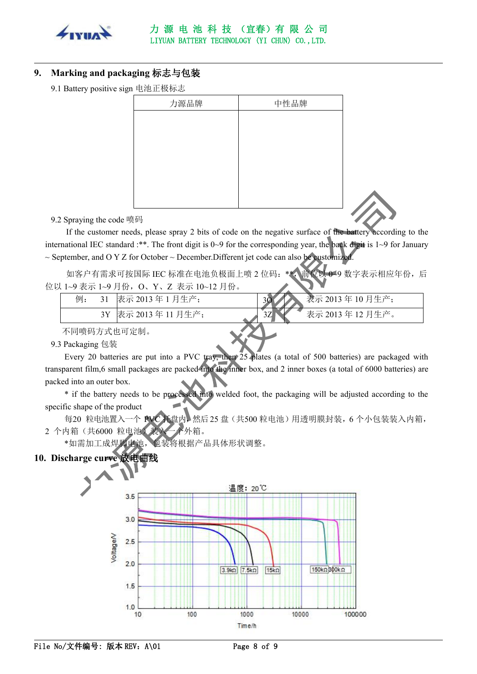

### <span id="page-9-0"></span>**9. Marking and packaging** 标志与包装

9.1 Battery positive sign 电池正极标志

| 力源品牌 | 中性品牌 |  |
|------|------|--|
|      |      |  |
|      |      |  |
|      |      |  |
|      |      |  |
|      |      |  |
|      |      |  |
|      |      |  |
|      |      |  |

9.2 Spraying the code 喷码

If the customer needs, please spray 2 bits of code on the negative surface of the battery according to the international IEC standard :\*\*. The front digit is 0~9 for the corresponding year, the back digit is 1~9 for January  $\sim$  September, and O Y Z for October  $\sim$  December. Different jet code can also be customized.

如客户有需求可按国际 IEC 标准在电池负极面上喷 2 位码: \*\*, 前位以 0~9 数字表示相应年份, 后 位以 1~9 表示 1~9 月份, O、Y、Z 表示 10~12 月份。

| 例: | 21<br>◡ | ! 月生产:<br>表示 2013年1 | 30 | 表示 2013年10月生产; |  |
|----|---------|---------------------|----|----------------|--|
|    | 3Y      | 表示 2013 年 11 月生产;   | 3Z | 表示 2013年12月生产。 |  |
|    |         |                     |    |                |  |

不同喷码方式也可定制。

#### 9.3 [Packaging](http://www.youdao.com/w/packaging/) 包装

Every 20 batteries are put into a PVC tray, then 25 plates (a total of 500 batteries) are packaged with transparent film,6 small packages are packed into the inner box, and 2 inner boxes (a total of 6000 batteries) are packed into an outer box.

\* if the battery needs to be processed into welded foot, the packaging will be adjusted according to the specific shape of the product

每20 粒电池置入一个 PVC 托盘内,然后25 盘(共500粒电池)用透明膜封装,6个小包装装入内箱, 2 个内箱(共6000 粒电池)装入一个外箱。

<span id="page-9-1"></span>\*如需加工成焊脚电池,包装将根据产品具体形状调整。

### **10. Discharge curve** 放电曲线